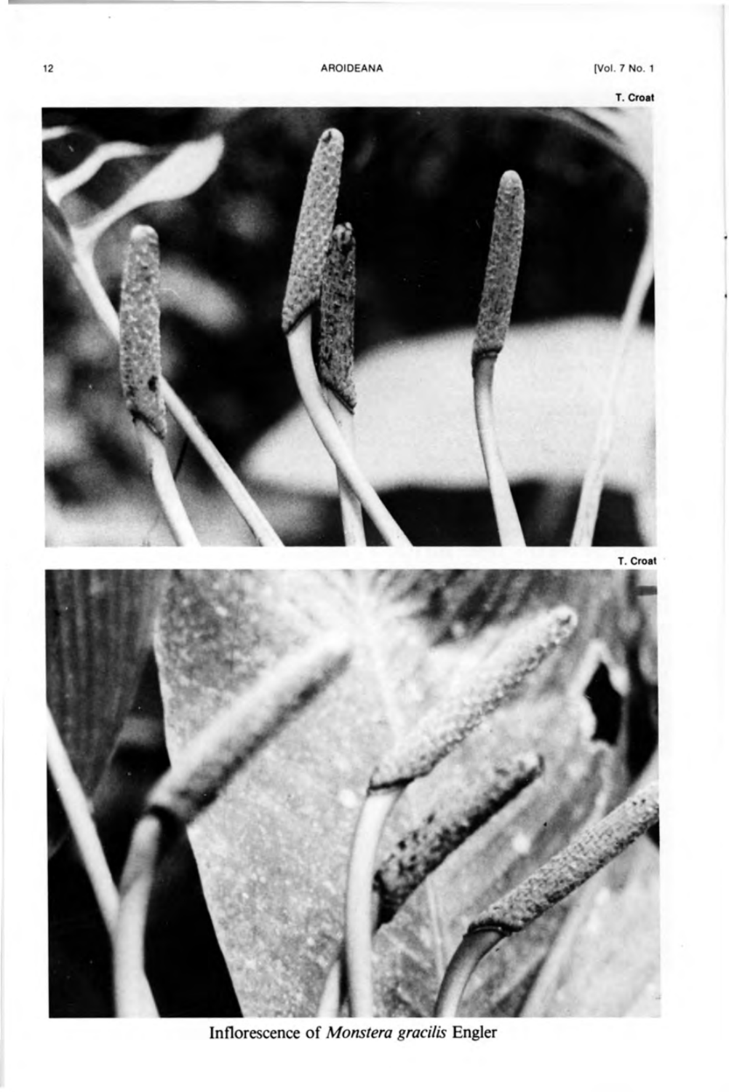



**Inflorescence of** *Monstera gracilis* **Engler**